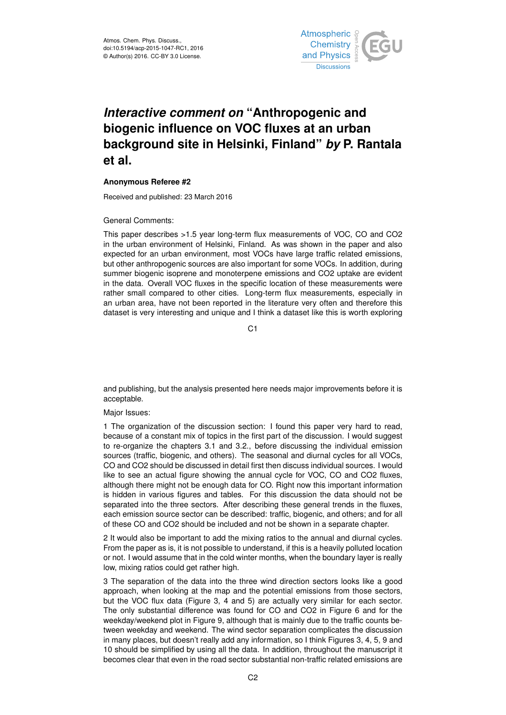

## *Interactive comment on* **"Anthropogenic and biogenic influence on VOC fluxes at an urban background site in Helsinki, Finland"** *by* **P. Rantala et al.**

## **Anonymous Referee #2**

Received and published: 23 March 2016

General Comments:

This paper describes >1.5 year long-term flux measurements of VOC, CO and CO2 in the urban environment of Helsinki, Finland. As was shown in the paper and also expected for an urban environment, most VOCs have large traffic related emissions, but other anthropogenic sources are also important for some VOCs. In addition, during summer biogenic isoprene and monoterpene emissions and CO2 uptake are evident in the data. Overall VOC fluxes in the specific location of these measurements were rather small compared to other cities. Long-term flux measurements, especially in an urban area, have not been reported in the literature very often and therefore this dataset is very interesting and unique and I think a dataset like this is worth exploring

 $C<sub>1</sub>$ 

and publishing, but the analysis presented here needs major improvements before it is acceptable.

## Major Issues:

1 The organization of the discussion section: I found this paper very hard to read, because of a constant mix of topics in the first part of the discussion. I would suggest to re-organize the chapters 3.1 and 3.2., before discussing the individual emission sources (traffic, biogenic, and others). The seasonal and diurnal cycles for all VOCs, CO and CO2 should be discussed in detail first then discuss individual sources. I would like to see an actual figure showing the annual cycle for VOC, CO and CO2 fluxes, although there might not be enough data for CO. Right now this important information is hidden in various figures and tables. For this discussion the data should not be separated into the three sectors. After describing these general trends in the fluxes, each emission source sector can be described: traffic, biogenic, and others; and for all of these CO and CO2 should be included and not be shown in a separate chapter.

2 It would also be important to add the mixing ratios to the annual and diurnal cycles. From the paper as is, it is not possible to understand, if this is a heavily polluted location or not. I would assume that in the cold winter months, when the boundary layer is really low, mixing ratios could get rather high.

3 The separation of the data into the three wind direction sectors looks like a good approach, when looking at the map and the potential emissions from those sectors, but the VOC flux data (Figure 3, 4 and 5) are actually very similar for each sector. The only substantial difference was found for CO and CO2 in Figure 6 and for the weekday/weekend plot in Figure 9, although that is mainly due to the traffic counts between weekday and weekend. The wind sector separation complicates the discussion in many places, but doesn't really add any information, so I think Figures 3, 4, 5, 9 and 10 should be simplified by using all the data. In addition, throughout the manuscript it becomes clear that even in the road sector substantial non-traffic related emissions are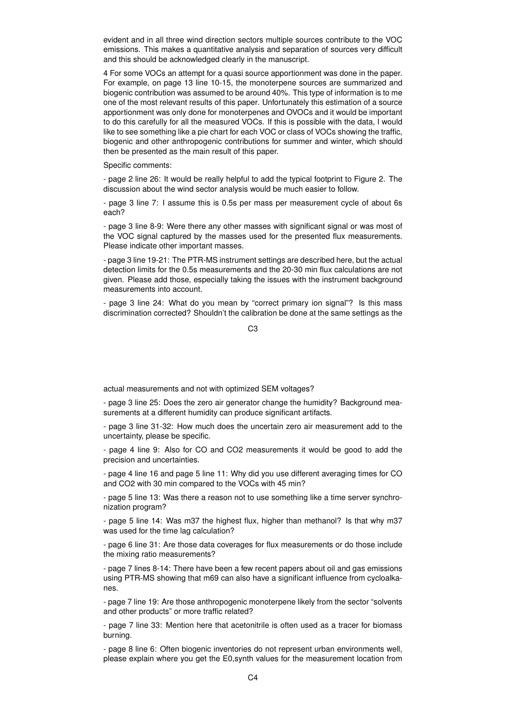evident and in all three wind direction sectors multiple sources contribute to the VOC emissions. This makes a quantitative analysis and separation of sources very difficult and this should be acknowledged clearly in the manuscript.

4 For some VOCs an attempt for a quasi source apportionment was done in the paper. For example, on page 13 line 10-15, the monoterpene sources are summarized and biogenic contribution was assumed to be around 40%. This type of information is to me one of the most relevant results of this paper. Unfortunately this estimation of a source apportionment was only done for monoterpenes and OVOCs and it would be important to do this carefully for all the measured VOCs. If this is possible with the data, I would like to see something like a pie chart for each VOC or class of VOCs showing the traffic, biogenic and other anthropogenic contributions for summer and winter, which should then be presented as the main result of this paper.

Specific comments:

- page 2 line 26: It would be really helpful to add the typical footprint to Figure 2. The discussion about the wind sector analysis would be much easier to follow.

- page 3 line 7: I assume this is 0.5s per mass per measurement cycle of about 6s each?

- page 3 line 8-9: Were there any other masses with significant signal or was most of the VOC signal captured by the masses used for the presented flux measurements. Please indicate other important masses.

- page 3 line 19-21: The PTR-MS instrument settings are described here, but the actual detection limits for the 0.5s measurements and the 20-30 min flux calculations are not given. Please add those, especially taking the issues with the instrument background measurements into account.

- page 3 line 24: What do you mean by "correct primary ion signal"? Is this mass discrimination corrected? Shouldn't the calibration be done at the same settings as the

C3

actual measurements and not with optimized SEM voltages?

- page 3 line 25: Does the zero air generator change the humidity? Background measurements at a different humidity can produce significant artifacts.

- page 3 line 31-32: How much does the uncertain zero air measurement add to the uncertainty, please be specific.

- page 4 line 9: Also for CO and CO2 measurements it would be good to add the precision and uncertainties.

- page 4 line 16 and page 5 line 11: Why did you use different averaging times for CO and CO2 with 30 min compared to the VOCs with 45 min?

- page 5 line 13: Was there a reason not to use something like a time server synchronization program?

- page 5 line 14: Was m37 the highest flux, higher than methanol? Is that why m37 was used for the time lag calculation?

- page 6 line 31: Are those data coverages for flux measurements or do those include the mixing ratio measurements?

- page 7 lines 8-14: There have been a few recent papers about oil and gas emissions using PTR-MS showing that m69 can also have a significant influence from cycloalkanes.

- page 7 line 19: Are those anthropogenic monoterpene likely from the sector "solvents and other products" or more traffic related?

- page 7 line 33: Mention here that acetonitrile is often used as a tracer for biomass burning.

- page 8 line 6: Often biogenic inventories do not represent urban environments well, please explain where you get the E0,synth values for the measurement location from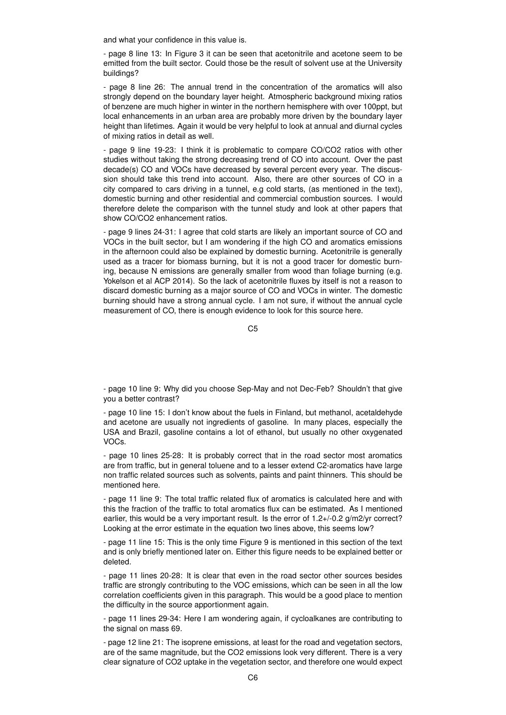and what your confidence in this value is.

- page 8 line 13: In Figure 3 it can be seen that acetonitrile and acetone seem to be emitted from the built sector. Could those be the result of solvent use at the University buildings?

- page 8 line 26: The annual trend in the concentration of the aromatics will also strongly depend on the boundary layer height. Atmospheric background mixing ratios of benzene are much higher in winter in the northern hemisphere with over 100ppt, but local enhancements in an urban area are probably more driven by the boundary layer height than lifetimes. Again it would be very helpful to look at annual and diurnal cycles of mixing ratios in detail as well.

- page 9 line 19-23: I think it is problematic to compare CO/CO2 ratios with other studies without taking the strong decreasing trend of CO into account. Over the past decade(s) CO and VOCs have decreased by several percent every year. The discussion should take this trend into account. Also, there are other sources of CO in a city compared to cars driving in a tunnel, e.g cold starts, (as mentioned in the text), domestic burning and other residential and commercial combustion sources. I would therefore delete the comparison with the tunnel study and look at other papers that show CO/CO2 enhancement ratios.

- page 9 lines 24-31: I agree that cold starts are likely an important source of CO and VOCs in the built sector, but I am wondering if the high CO and aromatics emissions in the afternoon could also be explained by domestic burning. Acetonitrile is generally used as a tracer for biomass burning, but it is not a good tracer for domestic burning, because N emissions are generally smaller from wood than foliage burning (e.g. Yokelson et al ACP 2014). So the lack of acetonitrile fluxes by itself is not a reason to discard domestic burning as a major source of CO and VOCs in winter. The domestic burning should have a strong annual cycle. I am not sure, if without the annual cycle measurement of CO, there is enough evidence to look for this source here.

 $C<sub>5</sub>$ 

- page 10 line 9: Why did you choose Sep-May and not Dec-Feb? Shouldn't that give you a better contrast?

- page 10 line 15: I don't know about the fuels in Finland, but methanol, acetaldehyde and acetone are usually not ingredients of gasoline. In many places, especially the USA and Brazil, gasoline contains a lot of ethanol, but usually no other oxygenated VOCs.

- page 10 lines 25-28: It is probably correct that in the road sector most aromatics are from traffic, but in general toluene and to a lesser extend C2-aromatics have large non traffic related sources such as solvents, paints and paint thinners. This should be mentioned here.

- page 11 line 9: The total traffic related flux of aromatics is calculated here and with this the fraction of the traffic to total aromatics flux can be estimated. As I mentioned earlier, this would be a very important result. Is the error of 1.2+/-0.2 g/m2/yr correct? Looking at the error estimate in the equation two lines above, this seems low?

- page 11 line 15: This is the only time Figure 9 is mentioned in this section of the text and is only briefly mentioned later on. Either this figure needs to be explained better or deleted.

- page 11 lines 20-28: It is clear that even in the road sector other sources besides traffic are strongly contributing to the VOC emissions, which can be seen in all the low correlation coefficients given in this paragraph. This would be a good place to mention the difficulty in the source apportionment again.

- page 11 lines 29-34: Here I am wondering again, if cycloalkanes are contributing to the signal on mass 69.

- page 12 line 21: The isoprene emissions, at least for the road and vegetation sectors, are of the same magnitude, but the CO2 emissions look very different. There is a very clear signature of CO2 uptake in the vegetation sector, and therefore one would expect